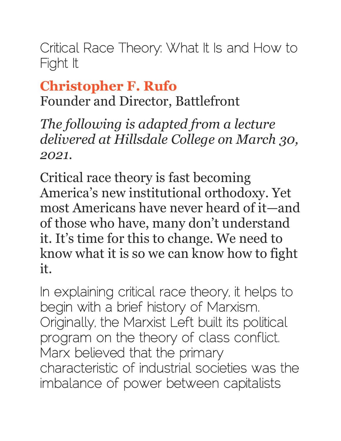Critical Race Theory: What It Is and How to Fight It

### **[Christopher F. Rufo](https://imprimis.hillsdale.edu/critical-race-theory-fight/?utm_medium=social&utm_source=email)**

Founder and Director, Battlefront

*The following is adapted from a lecture delivered at Hillsdale College on March 30, 2021.*

Critical race theory is fast becoming America's new institutional orthodoxy. Yet most Americans have never heard of it—and of those who have, many don't understand it. It's time for this to change. We need to know what it is so we can know how to fight it.

In explaining critical race theory, it helps to begin with a brief history of Marxism. Originally, the Marxist Left built its political program on the theory of class conflict. Marx believed that the primary characteristic of industrial societies was the imbalance of power between capitalists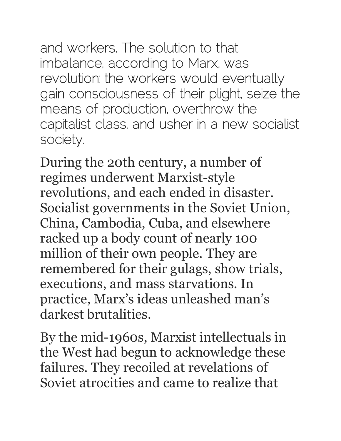and workers. The solution to that imbalance, according to Marx, was revolution: the workers would eventually gain consciousness of their plight, seize the means of production, overthrow the capitalist class, and usher in a new socialist society.

During the 20th century, a number of regimes underwent Marxist-style revolutions, and each ended in disaster. Socialist governments in the Soviet Union, China, Cambodia, Cuba, and elsewhere racked up a body count of nearly 100 million of their own people. They are remembered for their gulags, show trials, executions, and mass starvations. In practice, Marx's ideas unleashed man's darkest brutalities.

By the mid-1960s, Marxist intellectuals in the West had begun to acknowledge these failures. They recoiled at revelations of Soviet atrocities and came to realize that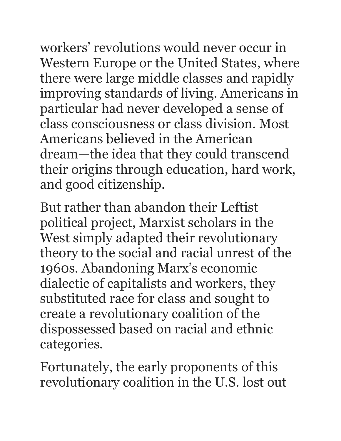workers' revolutions would never occur in Western Europe or the United States, where there were large middle classes and rapidly improving standards of living. Americans in particular had never developed a sense of class consciousness or class division. Most Americans believed in the American dream—the idea that they could transcend their origins through education, hard work, and good citizenship.

But rather than abandon their Leftist political project, Marxist scholars in the West simply adapted their revolutionary theory to the social and racial unrest of the 1960s. Abandoning Marx's economic dialectic of capitalists and workers, they substituted race for class and sought to create a revolutionary coalition of the dispossessed based on racial and ethnic categories.

Fortunately, the early proponents of this revolutionary coalition in the U.S. lost out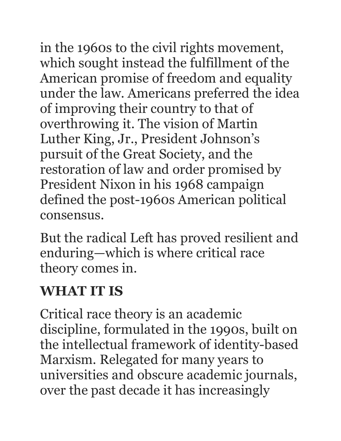in the 1960s to the civil rights movement, which sought instead the fulfillment of the American promise of freedom and equality under the law. Americans preferred the idea of improving their country to that of overthrowing it. The vision of Martin Luther King, Jr., President Johnson's pursuit of the Great Society, and the restoration of law and order promised by President Nixon in his 1968 campaign defined the post-1960s American political consensus.

But the radical Left has proved resilient and enduring—which is where critical race theory comes in.

### **WHAT IT IS**

Critical race theory is an academic discipline, formulated in the 1990s, built on the intellectual framework of identity-based Marxism. Relegated for many years to universities and obscure academic journals, over the past decade it has increasingly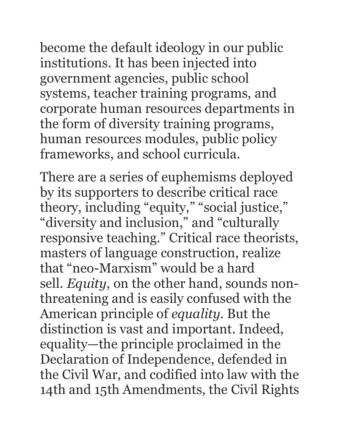become the default ideology in our public institutions. It has been injected into government agencies, public school systems, teacher training programs, and corporate human resources departments in the form of diversity training programs, human resources modules, public policy frameworks, and school curricula.

There are a series of euphemisms deployed by its supporters to describe critical race theory, including "equity," "social justice," "diversity and inclusion," and "culturally responsive teaching." Critical race theorists, masters of language construction, realize that "neo-Marxism" would be a hard sell. *Equity*, on the other hand, sounds nonthreatening and is easily confused with the American principle of *equality*. But the distinction is vast and important. Indeed, equality—the principle proclaimed in the Declaration of Independence, defended in the Civil War, and codified into law with the 14th and 15th Amendments, the Civil Rights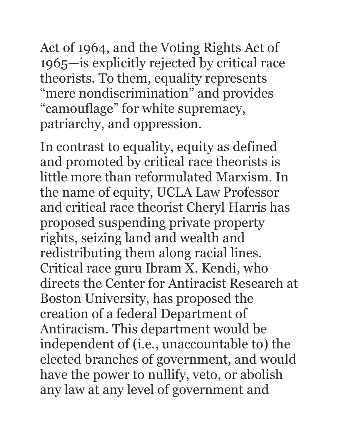Act of 1964, and the Voting Rights Act of 1965—is explicitly rejected by critical race theorists. To them, equality represents "mere nondiscrimination" and provides "camouflage" for white supremacy, patriarchy, and oppression.

In contrast to equality, equity as defined and promoted by critical race theorists is little more than reformulated Marxism. In the name of equity, UCLA Law Professor and critical race theorist Cheryl Harris has proposed suspending private property rights, seizing land and wealth and redistributing them along racial lines. Critical race guru Ibram X. Kendi, who directs the Center for Antiracist Research at Boston University, has proposed the creation of a federal Department of Antiracism. This department would be independent of (i.e., unaccountable to) the elected branches of government, and would have the power to nullify, veto, or abolish any law at any level of government and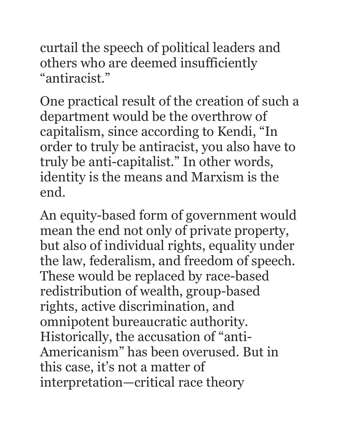curtail the speech of political leaders and others who are deemed insufficiently "antiracist."

One practical result of the creation of such a department would be the overthrow of capitalism, since according to Kendi, "In order to truly be antiracist, you also have to truly be anti-capitalist." In other words, identity is the means and Marxism is the end.

An equity-based form of government would mean the end not only of private property, but also of individual rights, equality under the law, federalism, and freedom of speech. These would be replaced by race-based redistribution of wealth, group-based rights, active discrimination, and omnipotent bureaucratic authority. Historically, the accusation of "anti-Americanism" has been overused. But in this case, it's not a matter of interpretation—critical race theory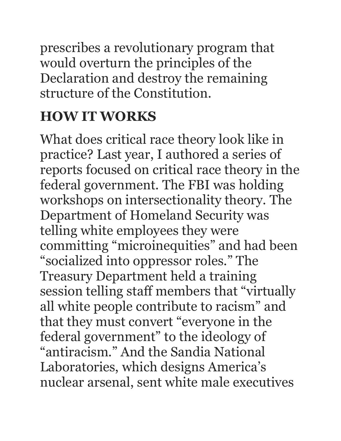prescribes a revolutionary program that would overturn the principles of the Declaration and destroy the remaining structure of the Constitution.

# **HOW IT WORKS**

What does critical race theory look like in practice? Last year, I authored a series of reports focused on critical race theory in the federal government. The FBI was holding workshops on intersectionality theory. The Department of Homeland Security was telling white employees they were committing "microinequities" and had been "socialized into oppressor roles." The Treasury Department held a training session telling staff members that "virtually all white people contribute to racism" and that they must convert "everyone in the federal government" to the ideology of "antiracism." And the Sandia National Laboratories, which designs America's nuclear arsenal, sent white male executives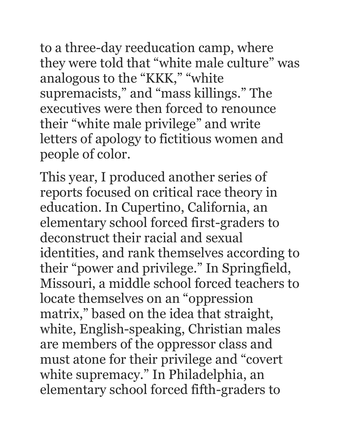to a three-day reeducation camp, where they were told that "white male culture" was analogous to the "KKK," "white supremacists," and "mass killings." The executives were then forced to renounce their "white male privilege" and write letters of apology to fictitious women and people of color.

This year, I produced another series of reports focused on critical race theory in education. In Cupertino, California, an elementary school forced first-graders to deconstruct their racial and sexual identities, and rank themselves according to their "power and privilege." In Springfield, Missouri, a middle school forced teachers to locate themselves on an "oppression matrix," based on the idea that straight, white, English-speaking, Christian males are members of the oppressor class and must atone for their privilege and "covert white supremacy." In Philadelphia, an elementary school forced fifth-graders to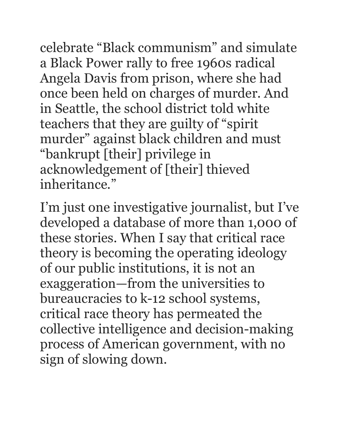celebrate "Black communism" and simulate a Black Power rally to free 1960s radical Angela Davis from prison, where she had once been held on charges of murder. And in Seattle, the school district told white teachers that they are guilty of "spirit murder" against black children and must "bankrupt [their] privilege in acknowledgement of [their] thieved inheritance."

I'm just one investigative journalist, but I've developed a database of more than 1,000 of these stories. When I say that critical race theory is becoming the operating ideology of our public institutions, it is not an exaggeration—from the universities to bureaucracies to k-12 school systems, critical race theory has permeated the collective intelligence and decision-making process of American government, with no sign of slowing down.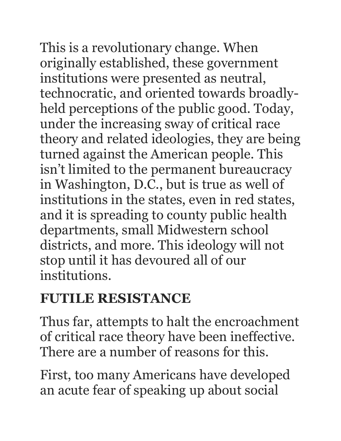This is a revolutionary change. When originally established, these government institutions were presented as neutral, technocratic, and oriented towards broadlyheld perceptions of the public good. Today, under the increasing sway of critical race theory and related ideologies, they are being turned against the American people. This isn't limited to the permanent bureaucracy in Washington, D.C., but is true as well of institutions in the states, even in red states, and it is spreading to county public health departments, small Midwestern school districts, and more. This ideology will not stop until it has devoured all of our institutions.

### **FUTILE RESISTANCE**

Thus far, attempts to halt the encroachment of critical race theory have been ineffective. There are a number of reasons for this.

First, too many Americans have developed an acute fear of speaking up about social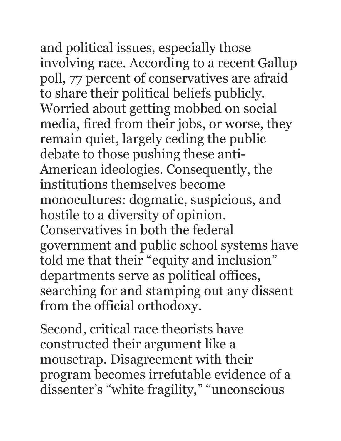and political issues, especially those involving race. According to a recent Gallup poll, 77 percent of conservatives are afraid to share their political beliefs publicly. Worried about getting mobbed on social media, fired from their jobs, or worse, they remain quiet, largely ceding the public debate to those pushing these anti-American ideologies. Consequently, the institutions themselves become monocultures: dogmatic, suspicious, and hostile to a diversity of opinion. Conservatives in both the federal government and public school systems have told me that their "equity and inclusion" departments serve as political offices, searching for and stamping out any dissent from the official orthodoxy.

Second, critical race theorists have constructed their argument like a mousetrap. Disagreement with their program becomes irrefutable evidence of a dissenter's "white fragility," "unconscious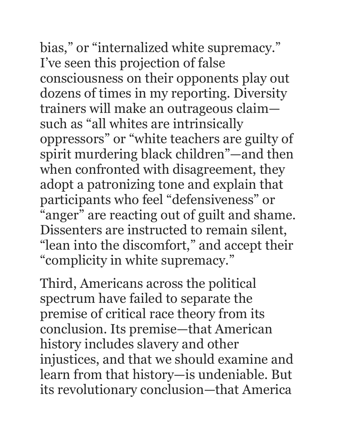bias," or "internalized white supremacy." I've seen this projection of false consciousness on their opponents play out dozens of times in my reporting. Diversity trainers will make an outrageous claim such as "all whites are intrinsically oppressors" or "white teachers are guilty of spirit murdering black children"—and then when confronted with disagreement, they adopt a patronizing tone and explain that participants who feel "defensiveness" or "anger" are reacting out of guilt and shame. Dissenters are instructed to remain silent, "lean into the discomfort," and accept their "complicity in white supremacy."

Third, Americans across the political spectrum have failed to separate the premise of critical race theory from its conclusion. Its premise—that American history includes slavery and other injustices, and that we should examine and learn from that history—is undeniable. But its revolutionary conclusion—that America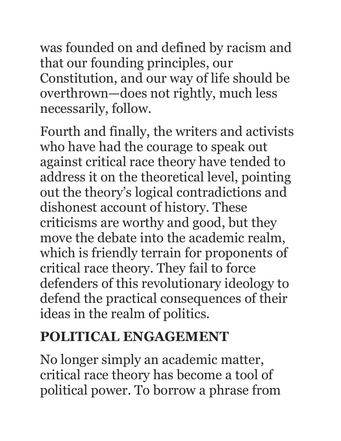was founded on and defined by racism and that our founding principles, our Constitution, and our way of life should be overthrown—does not rightly, much less necessarily, follow.

Fourth and finally, the writers and activists who have had the courage to speak out against critical race theory have tended to address it on the theoretical level, pointing out the theory's logical contradictions and dishonest account of history. These criticisms are worthy and good, but they move the debate into the academic realm, which is friendly terrain for proponents of critical race theory. They fail to force defenders of this revolutionary ideology to defend the practical consequences of their ideas in the realm of politics.

## **POLITICAL ENGAGEMENT**

No longer simply an academic matter, critical race theory has become a tool of political power. To borrow a phrase from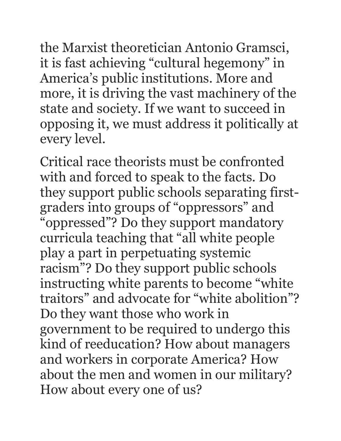the Marxist theoretician Antonio Gramsci, it is fast achieving "cultural hegemony" in America's public institutions. More and more, it is driving the vast machinery of the state and society. If we want to succeed in opposing it, we must address it politically at every level.

Critical race theorists must be confronted with and forced to speak to the facts. Do they support public schools separating firstgraders into groups of "oppressors" and "oppressed"? Do they support mandatory curricula teaching that "all white people play a part in perpetuating systemic racism"? Do they support public schools instructing white parents to become "white traitors" and advocate for "white abolition"? Do they want those who work in government to be required to undergo this kind of reeducation? How about managers and workers in corporate America? How about the men and women in our military? How about every one of us?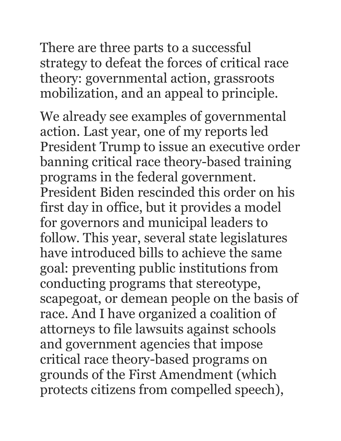There are three parts to a successful strategy to defeat the forces of critical race theory: governmental action, grassroots mobilization, and an appeal to principle.

We already see examples of governmental action. Last year, one of my reports led President Trump to issue an executive order banning critical race theory-based training programs in the federal government. President Biden rescinded this order on his first day in office, but it provides a model for governors and municipal leaders to follow. This year, several state legislatures have introduced bills to achieve the same goal: preventing public institutions from conducting programs that stereotype, scapegoat, or demean people on the basis of race. And I have organized a coalition of attorneys to file lawsuits against schools and government agencies that impose critical race theory-based programs on grounds of the First Amendment (which protects citizens from compelled speech),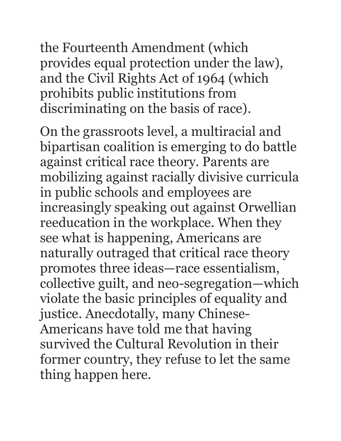the Fourteenth Amendment (which provides equal protection under the law), and the Civil Rights Act of 1964 (which prohibits public institutions from discriminating on the basis of race).

On the grassroots level, a multiracial and bipartisan coalition is emerging to do battle against critical race theory. Parents are mobilizing against racially divisive curricula in public schools and employees are increasingly speaking out against Orwellian reeducation in the workplace. When they see what is happening, Americans are naturally outraged that critical race theory promotes three ideas—race essentialism, collective guilt, and neo-segregation—which violate the basic principles of equality and justice. Anecdotally, many Chinese-Americans have told me that having survived the Cultural Revolution in their former country, they refuse to let the same thing happen here.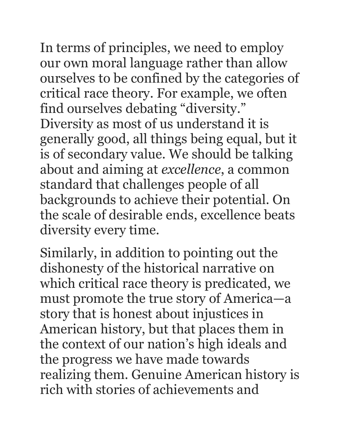In terms of principles, we need to employ our own moral language rather than allow ourselves to be confined by the categories of critical race theory. For example, we often find ourselves debating "diversity." Diversity as most of us understand it is generally good, all things being equal, but it is of secondary value. We should be talking about and aiming at *excellence*, a common standard that challenges people of all backgrounds to achieve their potential. On the scale of desirable ends, excellence beats diversity every time.

Similarly, in addition to pointing out the dishonesty of the historical narrative on which critical race theory is predicated, we must promote the true story of America—a story that is honest about injustices in American history, but that places them in the context of our nation's high ideals and the progress we have made towards realizing them. Genuine American history is rich with stories of achievements and